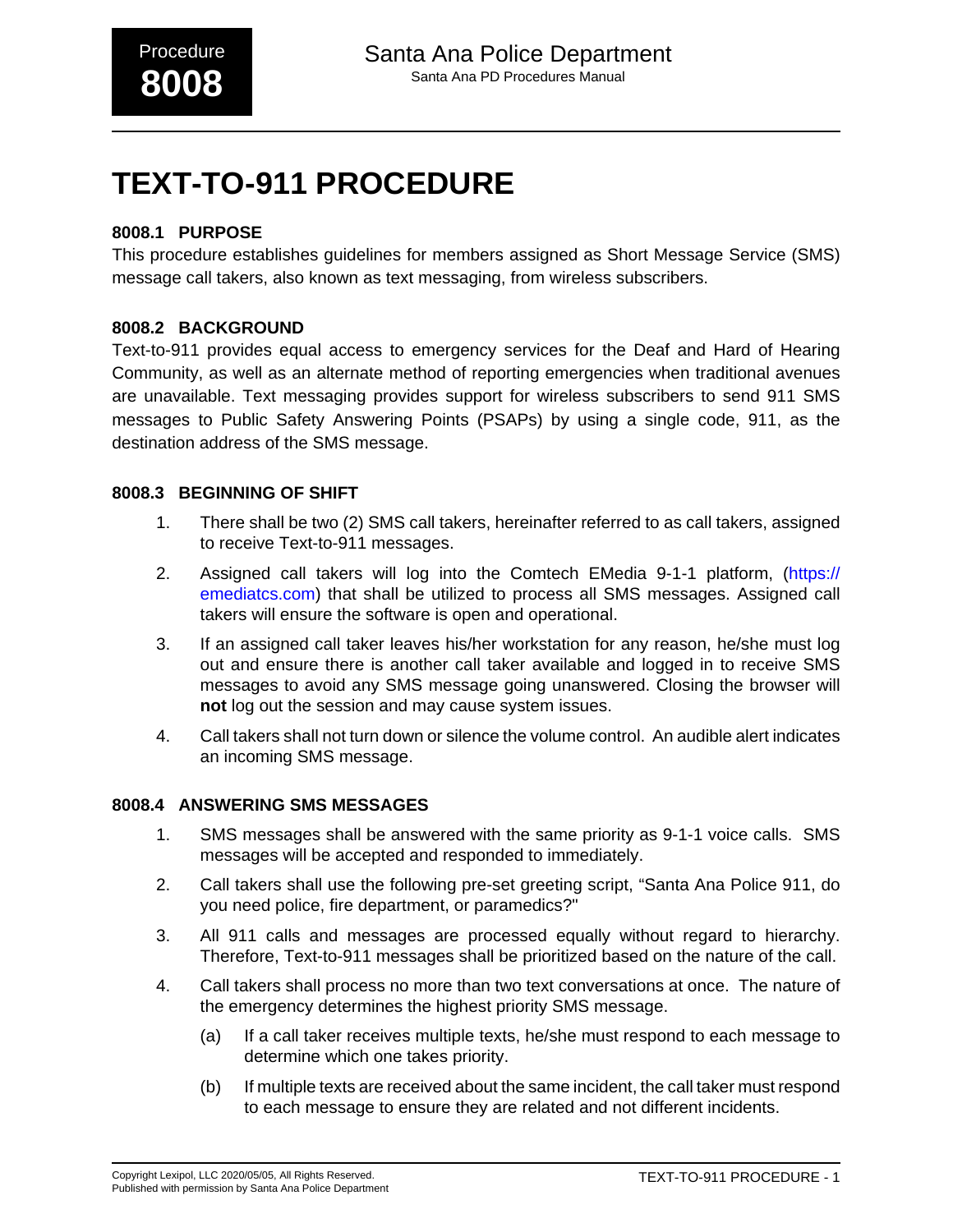# **TEXT-TO-911 PROCEDURE**

## **8008.1 PURPOSE**

This procedure establishes guidelines for members assigned as Short Message Service (SMS) message call takers, also known as text messaging, from wireless subscribers.

## **8008.2 BACKGROUND**

Text-to-911 provides equal access to emergency services for the Deaf and Hard of Hearing Community, as well as an alternate method of reporting emergencies when traditional avenues are unavailable. Text messaging provides support for wireless subscribers to send 911 SMS messages to Public Safety Answering Points (PSAPs) by using a single code, 911, as the destination address of the SMS message.

### **8008.3 BEGINNING OF SHIFT**

- 1. There shall be two (2) SMS call takers, hereinafter referred to as call takers, assigned to receive Text-to-911 messages.
- 2. Assigned call takers will log into the Comtech EMedia 9-1-1 platform, ([https://](https://emediatcs.com) [emediatcs.com\)](https://emediatcs.com) that shall be utilized to process all SMS messages. Assigned call takers will ensure the software is open and operational.
- 3. If an assigned call taker leaves his/her workstation for any reason, he/she must log out and ensure there is another call taker available and logged in to receive SMS messages to avoid any SMS message going unanswered. Closing the browser will **not** log out the session and may cause system issues.
- 4. Call takers shall not turn down or silence the volume control. An audible alert indicates an incoming SMS message.

## **8008.4 ANSWERING SMS MESSAGES**

- 1. SMS messages shall be answered with the same priority as 9-1-1 voice calls. SMS messages will be accepted and responded to immediately.
- 2. Call takers shall use the following pre-set greeting script, "Santa Ana Police 911, do you need police, fire department, or paramedics?"
- 3. All 911 calls and messages are processed equally without regard to hierarchy. Therefore, Text-to-911 messages shall be prioritized based on the nature of the call.
- 4. Call takers shall process no more than two text conversations at once. The nature of the emergency determines the highest priority SMS message.
	- (a) If a call taker receives multiple texts, he/she must respond to each message to determine which one takes priority.
	- (b) If multiple texts are received about the same incident, the call taker must respond to each message to ensure they are related and not different incidents.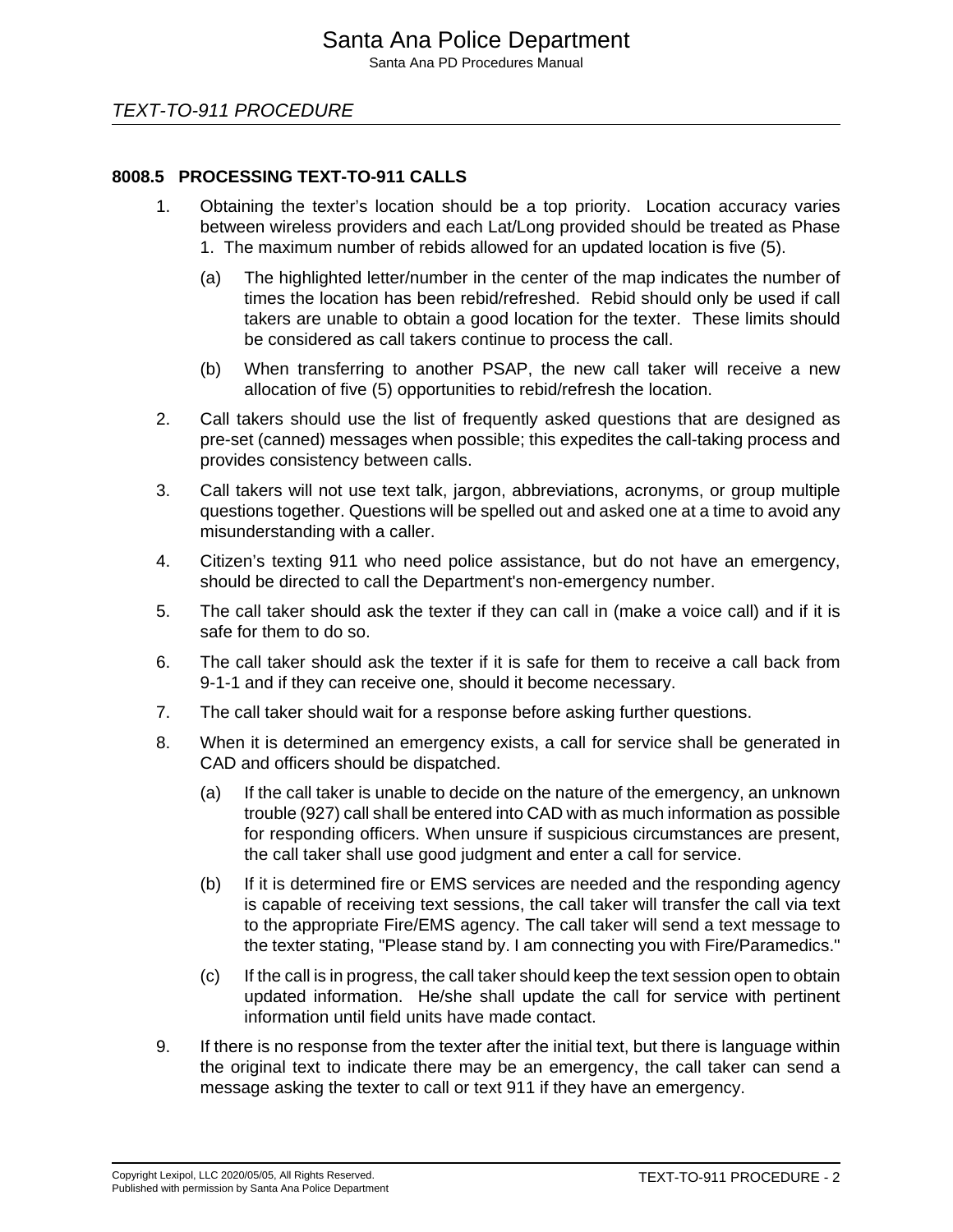### **8008.5 PROCESSING TEXT-TO-911 CALLS**

- 1. Obtaining the texter's location should be a top priority. Location accuracy varies between wireless providers and each Lat/Long provided should be treated as Phase 1. The maximum number of rebids allowed for an updated location is five (5).
	- (a) The highlighted letter/number in the center of the map indicates the number of times the location has been rebid/refreshed. Rebid should only be used if call takers are unable to obtain a good location for the texter. These limits should be considered as call takers continue to process the call.
	- (b) When transferring to another PSAP, the new call taker will receive a new allocation of five (5) opportunities to rebid/refresh the location.
- 2. Call takers should use the list of frequently asked questions that are designed as pre-set (canned) messages when possible; this expedites the call-taking process and provides consistency between calls.
- 3. Call takers will not use text talk, jargon, abbreviations, acronyms, or group multiple questions together. Questions will be spelled out and asked one at a time to avoid any misunderstanding with a caller.
- 4. Citizen's texting 911 who need police assistance, but do not have an emergency, should be directed to call the Department's non-emergency number.
- 5. The call taker should ask the texter if they can call in (make a voice call) and if it is safe for them to do so.
- 6. The call taker should ask the texter if it is safe for them to receive a call back from 9-1-1 and if they can receive one, should it become necessary.
- 7. The call taker should wait for a response before asking further questions.
- 8. When it is determined an emergency exists, a call for service shall be generated in CAD and officers should be dispatched.
	- (a) If the call taker is unable to decide on the nature of the emergency, an unknown trouble (927) call shall be entered into CAD with as much information as possible for responding officers. When unsure if suspicious circumstances are present, the call taker shall use good judgment and enter a call for service.
	- (b) If it is determined fire or EMS services are needed and the responding agency is capable of receiving text sessions, the call taker will transfer the call via text to the appropriate Fire/EMS agency. The call taker will send a text message to the texter stating, "Please stand by. I am connecting you with Fire/Paramedics."
	- (c) If the call is in progress, the call taker should keep the text session open to obtain updated information. He/she shall update the call for service with pertinent information until field units have made contact.
- 9. If there is no response from the texter after the initial text, but there is language within the original text to indicate there may be an emergency, the call taker can send a message asking the texter to call or text 911 if they have an emergency.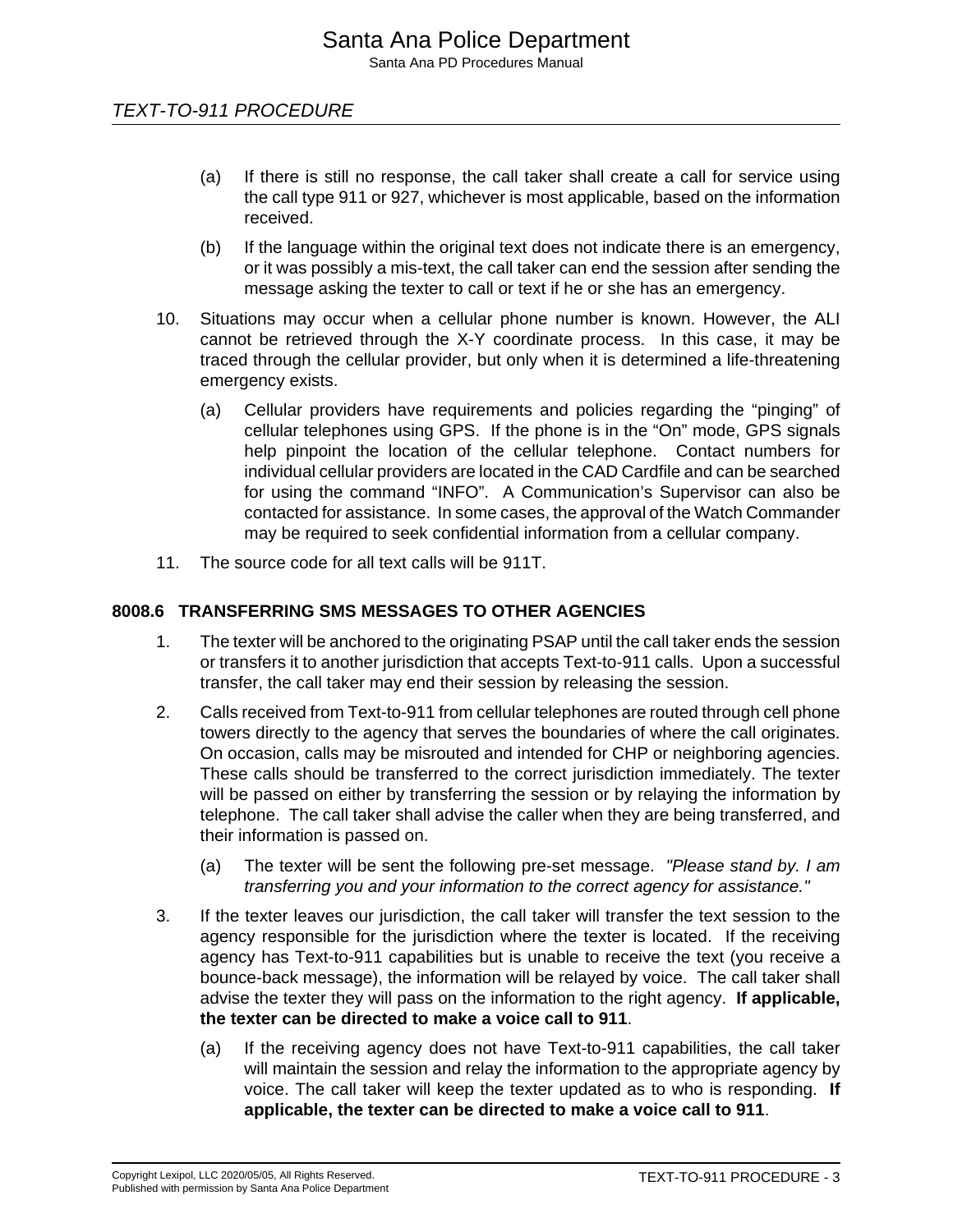- (a) If there is still no response, the call taker shall create a call for service using the call type 911 or 927, whichever is most applicable, based on the information received.
- (b) If the language within the original text does not indicate there is an emergency, or it was possibly a mis-text, the call taker can end the session after sending the message asking the texter to call or text if he or she has an emergency.
- 10. Situations may occur when a cellular phone number is known. However, the ALI cannot be retrieved through the X-Y coordinate process. In this case, it may be traced through the cellular provider, but only when it is determined a life-threatening emergency exists.
	- (a) Cellular providers have requirements and policies regarding the "pinging" of cellular telephones using GPS. If the phone is in the "On" mode, GPS signals help pinpoint the location of the cellular telephone. Contact numbers for individual cellular providers are located in the CAD Cardfile and can be searched for using the command "INFO". A Communication's Supervisor can also be contacted for assistance. In some cases, the approval of the Watch Commander may be required to seek confidential information from a cellular company.
- 11. The source code for all text calls will be 911T.

## **8008.6 TRANSFERRING SMS MESSAGES TO OTHER AGENCIES**

- 1. The texter will be anchored to the originating PSAP until the call taker ends the session or transfers it to another jurisdiction that accepts Text-to-911 calls. Upon a successful transfer, the call taker may end their session by releasing the session.
- 2. Calls received from Text-to-911 from cellular telephones are routed through cell phone towers directly to the agency that serves the boundaries of where the call originates. On occasion, calls may be misrouted and intended for CHP or neighboring agencies. These calls should be transferred to the correct jurisdiction immediately. The texter will be passed on either by transferring the session or by relaying the information by telephone. The call taker shall advise the caller when they are being transferred, and their information is passed on.
	- (a) The texter will be sent the following pre-set message. "Please stand by. I am transferring you and your information to the correct agency for assistance."
- 3. If the texter leaves our jurisdiction, the call taker will transfer the text session to the agency responsible for the jurisdiction where the texter is located. If the receiving agency has Text-to-911 capabilities but is unable to receive the text (you receive a bounce-back message), the information will be relayed by voice. The call taker shall advise the texter they will pass on the information to the right agency. **If applicable, the texter can be directed to make a voice call to 911**.
	- (a) If the receiving agency does not have Text-to-911 capabilities, the call taker will maintain the session and relay the information to the appropriate agency by voice. The call taker will keep the texter updated as to who is responding. **If applicable, the texter can be directed to make a voice call to 911**.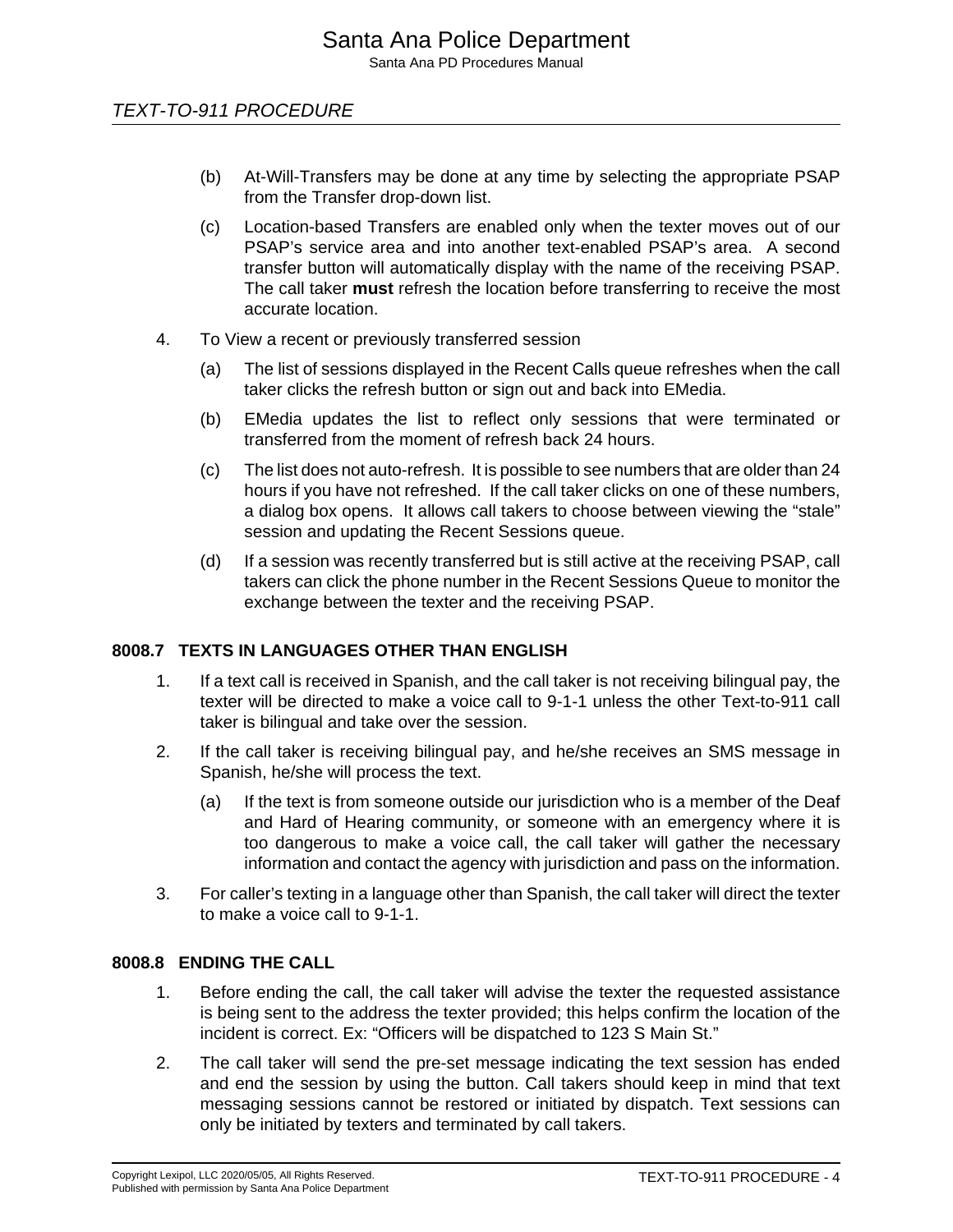## TEXT-TO-911 PROCEDURE

- (b) At-Will-Transfers may be done at any time by selecting the appropriate PSAP from the Transfer drop-down list.
- (c) Location-based Transfers are enabled only when the texter moves out of our PSAP's service area and into another text-enabled PSAP's area. A second transfer button will automatically display with the name of the receiving PSAP. The call taker **must** refresh the location before transferring to receive the most accurate location.
- 4. To View a recent or previously transferred session
	- (a) The list of sessions displayed in the Recent Calls queue refreshes when the call taker clicks the refresh button or sign out and back into EMedia.
	- (b) EMedia updates the list to reflect only sessions that were terminated or transferred from the moment of refresh back 24 hours.
	- (c) The list does not auto-refresh. It is possible to see numbers that are older than 24 hours if you have not refreshed. If the call taker clicks on one of these numbers, a dialog box opens. It allows call takers to choose between viewing the "stale" session and updating the Recent Sessions queue.
	- (d) If a session was recently transferred but is still active at the receiving PSAP, call takers can click the phone number in the Recent Sessions Queue to monitor the exchange between the texter and the receiving PSAP.

## **8008.7 TEXTS IN LANGUAGES OTHER THAN ENGLISH**

- 1. If a text call is received in Spanish, and the call taker is not receiving bilingual pay, the texter will be directed to make a voice call to 9-1-1 unless the other Text-to-911 call taker is bilingual and take over the session.
- 2. If the call taker is receiving bilingual pay, and he/she receives an SMS message in Spanish, he/she will process the text.
	- (a) If the text is from someone outside our jurisdiction who is a member of the Deaf and Hard of Hearing community, or someone with an emergency where it is too dangerous to make a voice call, the call taker will gather the necessary information and contact the agency with jurisdiction and pass on the information.
- 3. For caller's texting in a language other than Spanish, the call taker will direct the texter to make a voice call to 9-1-1.

### **8008.8 ENDING THE CALL**

- 1. Before ending the call, the call taker will advise the texter the requested assistance is being sent to the address the texter provided; this helps confirm the location of the incident is correct. Ex: "Officers will be dispatched to 123 S Main St."
- 2. The call taker will send the pre-set message indicating the text session has ended and end the session by using the button. Call takers should keep in mind that text messaging sessions cannot be restored or initiated by dispatch. Text sessions can only be initiated by texters and terminated by call takers.